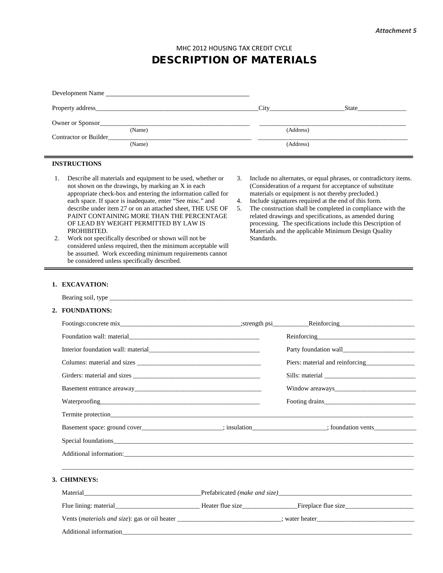MHC 2012 HOUSING TAX CREDIT CYCLE

# DESCRIPTION OF MATERIALS

| Development Name                                                                                                                                                                                                                                                                                                                                                                                                                                                                                                                                                                                                                                                 |                |            |                                                                                                                                                                                                                                                                                                                                                                                                                                                                                        |
|------------------------------------------------------------------------------------------------------------------------------------------------------------------------------------------------------------------------------------------------------------------------------------------------------------------------------------------------------------------------------------------------------------------------------------------------------------------------------------------------------------------------------------------------------------------------------------------------------------------------------------------------------------------|----------------|------------|----------------------------------------------------------------------------------------------------------------------------------------------------------------------------------------------------------------------------------------------------------------------------------------------------------------------------------------------------------------------------------------------------------------------------------------------------------------------------------------|
| Property address State State State State State State State State State State State State State State State State State State State State State State State State State State State State State State State State State State S                                                                                                                                                                                                                                                                                                                                                                                                                                   |                |            |                                                                                                                                                                                                                                                                                                                                                                                                                                                                                        |
|                                                                                                                                                                                                                                                                                                                                                                                                                                                                                                                                                                                                                                                                  |                |            |                                                                                                                                                                                                                                                                                                                                                                                                                                                                                        |
| (Name)<br>Contractor or Builder                                                                                                                                                                                                                                                                                                                                                                                                                                                                                                                                                                                                                                  |                |            | (Address)                                                                                                                                                                                                                                                                                                                                                                                                                                                                              |
| (Name)                                                                                                                                                                                                                                                                                                                                                                                                                                                                                                                                                                                                                                                           |                |            | (Address)                                                                                                                                                                                                                                                                                                                                                                                                                                                                              |
| <b>INSTRUCTIONS</b>                                                                                                                                                                                                                                                                                                                                                                                                                                                                                                                                                                                                                                              |                |            |                                                                                                                                                                                                                                                                                                                                                                                                                                                                                        |
| 1.<br>Describe all materials and equipment to be used, whether or<br>not shown on the drawings, by marking an X in each<br>appropriate check-box and entering the information called for<br>each space. If space is inadequate, enter "See misc." and<br>describe under item 27 or on an attached sheet, THE USE OF<br>PAINT CONTAINING MORE THAN THE PERCENTAGE<br>OF LEAD BY WEIGHT PERMITTED BY LAW IS<br>PROHIBITED.<br>2.<br>Work not specifically described or shown will not be<br>considered unless required, then the minimum acceptable will<br>be assumed. Work exceeding minimum requirements cannot<br>be considered unless specifically described. | 3.<br>4.<br>5. | Standards. | Include no alternates, or equal phrases, or contradictory items.<br>(Consideration of a request for acceptance of substitute<br>materials or equipment is not thereby precluded.)<br>Include signatures required at the end of this form.<br>The construction shall be completed in compliance with the<br>related drawings and specifications, as amended during<br>processing. The specifications include this Description of<br>Materials and the applicable Minimum Design Quality |
| 1. EXCAVATION:                                                                                                                                                                                                                                                                                                                                                                                                                                                                                                                                                                                                                                                   |                |            |                                                                                                                                                                                                                                                                                                                                                                                                                                                                                        |
|                                                                                                                                                                                                                                                                                                                                                                                                                                                                                                                                                                                                                                                                  |                |            |                                                                                                                                                                                                                                                                                                                                                                                                                                                                                        |
| 2. FOUNDATIONS:                                                                                                                                                                                                                                                                                                                                                                                                                                                                                                                                                                                                                                                  |                |            |                                                                                                                                                                                                                                                                                                                                                                                                                                                                                        |
|                                                                                                                                                                                                                                                                                                                                                                                                                                                                                                                                                                                                                                                                  |                |            |                                                                                                                                                                                                                                                                                                                                                                                                                                                                                        |
|                                                                                                                                                                                                                                                                                                                                                                                                                                                                                                                                                                                                                                                                  |                |            | Reinforcing<br><u>Reinforcing</u>                                                                                                                                                                                                                                                                                                                                                                                                                                                      |
|                                                                                                                                                                                                                                                                                                                                                                                                                                                                                                                                                                                                                                                                  |                |            |                                                                                                                                                                                                                                                                                                                                                                                                                                                                                        |
|                                                                                                                                                                                                                                                                                                                                                                                                                                                                                                                                                                                                                                                                  |                |            | Piers: material and reinforcing<br><u>example</u>                                                                                                                                                                                                                                                                                                                                                                                                                                      |
|                                                                                                                                                                                                                                                                                                                                                                                                                                                                                                                                                                                                                                                                  |                |            | Sills: material                                                                                                                                                                                                                                                                                                                                                                                                                                                                        |
|                                                                                                                                                                                                                                                                                                                                                                                                                                                                                                                                                                                                                                                                  |                |            | Window areaways and the contract of the contract of the contract of the contract of the contract of the contract of the contract of the contract of the contract of the contract of the contract of the contract of the contra                                                                                                                                                                                                                                                         |
|                                                                                                                                                                                                                                                                                                                                                                                                                                                                                                                                                                                                                                                                  |                |            | Footing drains                                                                                                                                                                                                                                                                                                                                                                                                                                                                         |
| Termite protection <b>Example 2.1</b> Seconds 1.1 Seconds 1.1 Seconds 1.1 Seconds 1.1 Seconds 1.1 Seconds 1.1 Seconds 1.1 Seconds 1.1 Seconds 1.1 Seconds 1.1 Seconds 1.1 Seconds 1.1 Seconds 1.1 Seconds 1.1 Seconds 1.1 Seconds 1                                                                                                                                                                                                                                                                                                                                                                                                                              |                |            |                                                                                                                                                                                                                                                                                                                                                                                                                                                                                        |
|                                                                                                                                                                                                                                                                                                                                                                                                                                                                                                                                                                                                                                                                  |                |            |                                                                                                                                                                                                                                                                                                                                                                                                                                                                                        |
|                                                                                                                                                                                                                                                                                                                                                                                                                                                                                                                                                                                                                                                                  |                |            |                                                                                                                                                                                                                                                                                                                                                                                                                                                                                        |
| Additional information:                                                                                                                                                                                                                                                                                                                                                                                                                                                                                                                                                                                                                                          |                |            |                                                                                                                                                                                                                                                                                                                                                                                                                                                                                        |
| 3. CHIMNEYS:                                                                                                                                                                                                                                                                                                                                                                                                                                                                                                                                                                                                                                                     |                |            |                                                                                                                                                                                                                                                                                                                                                                                                                                                                                        |
|                                                                                                                                                                                                                                                                                                                                                                                                                                                                                                                                                                                                                                                                  |                |            |                                                                                                                                                                                                                                                                                                                                                                                                                                                                                        |
|                                                                                                                                                                                                                                                                                                                                                                                                                                                                                                                                                                                                                                                                  |                |            |                                                                                                                                                                                                                                                                                                                                                                                                                                                                                        |
|                                                                                                                                                                                                                                                                                                                                                                                                                                                                                                                                                                                                                                                                  |                |            |                                                                                                                                                                                                                                                                                                                                                                                                                                                                                        |
|                                                                                                                                                                                                                                                                                                                                                                                                                                                                                                                                                                                                                                                                  |                |            |                                                                                                                                                                                                                                                                                                                                                                                                                                                                                        |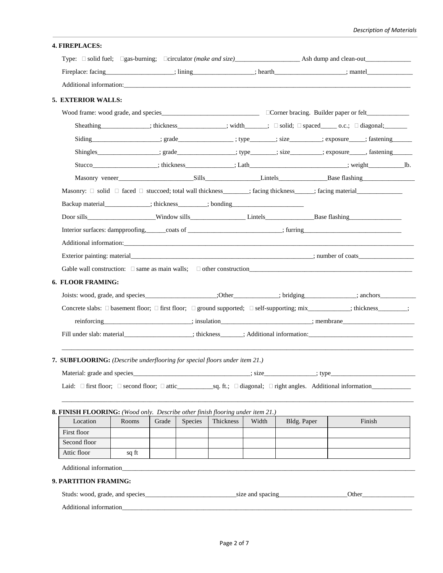| Fireplace: facing__________________; lining_____________; hearth________________; mantel________________;<br>Additional information: Additional Security of the Contractor Contractor Contractor Contractor Contractor Contractor Contractor Contractor Contractor Contractor Contractor Contractor Contractor Contractor Contractor Contra<br>5. EXTERIOR WALLS:<br>Siding __________________; grade______________; type_______; size________; exposure____; fastening_______<br>Shingles _________________; grade ____________; type _______; size _______; exposure _____, fastening __________;<br>Stucco_____________________; thickness_____________; Lath________________________; weight__________________b.<br>Backup material______________; thickness________; bonding_______________________<br>6. FLOOR FRAMING:<br>Joists: wood, grade, and species______________________;Other____________; bridging____________; anchors_____________<br>Concrete slabs: □ basement floor; □ first floor; □ ground supported; □ self-supporting; mix_________; thickness_______;<br>reinforcing entertainment and insulation and insulation and insulation and insulation and insulation and insulation and insulation and insulation and insulation and insulation and insulation and insulation and insulation a<br>7. SUBFLOORING: (Describe underflooring for special floors under item 21.)<br>8. FINISH FLOORING: (Wood only. Describe other finish flooring under item 21.)<br>Finish<br>Location<br>Grade<br>Species<br>Thickness<br>Bldg. Paper<br>Rooms<br>Width<br>First floor<br>Second floor<br>Attic floor<br>sq ft<br>9. PARTITION FRAMING: | <b>4. FIREPLACES:</b> |  |  |  |  |  |
|------------------------------------------------------------------------------------------------------------------------------------------------------------------------------------------------------------------------------------------------------------------------------------------------------------------------------------------------------------------------------------------------------------------------------------------------------------------------------------------------------------------------------------------------------------------------------------------------------------------------------------------------------------------------------------------------------------------------------------------------------------------------------------------------------------------------------------------------------------------------------------------------------------------------------------------------------------------------------------------------------------------------------------------------------------------------------------------------------------------------------------------------------------------------------------------------------------------------------------------------------------------------------------------------------------------------------------------------------------------------------------------------------------------------------------------------------------------------------------------------------------------------------------------------------------------------------------------------------------------------------------------------------------|-----------------------|--|--|--|--|--|
|                                                                                                                                                                                                                                                                                                                                                                                                                                                                                                                                                                                                                                                                                                                                                                                                                                                                                                                                                                                                                                                                                                                                                                                                                                                                                                                                                                                                                                                                                                                                                                                                                                                            |                       |  |  |  |  |  |
|                                                                                                                                                                                                                                                                                                                                                                                                                                                                                                                                                                                                                                                                                                                                                                                                                                                                                                                                                                                                                                                                                                                                                                                                                                                                                                                                                                                                                                                                                                                                                                                                                                                            |                       |  |  |  |  |  |
|                                                                                                                                                                                                                                                                                                                                                                                                                                                                                                                                                                                                                                                                                                                                                                                                                                                                                                                                                                                                                                                                                                                                                                                                                                                                                                                                                                                                                                                                                                                                                                                                                                                            |                       |  |  |  |  |  |
|                                                                                                                                                                                                                                                                                                                                                                                                                                                                                                                                                                                                                                                                                                                                                                                                                                                                                                                                                                                                                                                                                                                                                                                                                                                                                                                                                                                                                                                                                                                                                                                                                                                            |                       |  |  |  |  |  |
|                                                                                                                                                                                                                                                                                                                                                                                                                                                                                                                                                                                                                                                                                                                                                                                                                                                                                                                                                                                                                                                                                                                                                                                                                                                                                                                                                                                                                                                                                                                                                                                                                                                            |                       |  |  |  |  |  |
|                                                                                                                                                                                                                                                                                                                                                                                                                                                                                                                                                                                                                                                                                                                                                                                                                                                                                                                                                                                                                                                                                                                                                                                                                                                                                                                                                                                                                                                                                                                                                                                                                                                            |                       |  |  |  |  |  |
|                                                                                                                                                                                                                                                                                                                                                                                                                                                                                                                                                                                                                                                                                                                                                                                                                                                                                                                                                                                                                                                                                                                                                                                                                                                                                                                                                                                                                                                                                                                                                                                                                                                            |                       |  |  |  |  |  |
|                                                                                                                                                                                                                                                                                                                                                                                                                                                                                                                                                                                                                                                                                                                                                                                                                                                                                                                                                                                                                                                                                                                                                                                                                                                                                                                                                                                                                                                                                                                                                                                                                                                            |                       |  |  |  |  |  |
|                                                                                                                                                                                                                                                                                                                                                                                                                                                                                                                                                                                                                                                                                                                                                                                                                                                                                                                                                                                                                                                                                                                                                                                                                                                                                                                                                                                                                                                                                                                                                                                                                                                            |                       |  |  |  |  |  |
|                                                                                                                                                                                                                                                                                                                                                                                                                                                                                                                                                                                                                                                                                                                                                                                                                                                                                                                                                                                                                                                                                                                                                                                                                                                                                                                                                                                                                                                                                                                                                                                                                                                            |                       |  |  |  |  |  |
|                                                                                                                                                                                                                                                                                                                                                                                                                                                                                                                                                                                                                                                                                                                                                                                                                                                                                                                                                                                                                                                                                                                                                                                                                                                                                                                                                                                                                                                                                                                                                                                                                                                            |                       |  |  |  |  |  |
|                                                                                                                                                                                                                                                                                                                                                                                                                                                                                                                                                                                                                                                                                                                                                                                                                                                                                                                                                                                                                                                                                                                                                                                                                                                                                                                                                                                                                                                                                                                                                                                                                                                            |                       |  |  |  |  |  |
|                                                                                                                                                                                                                                                                                                                                                                                                                                                                                                                                                                                                                                                                                                                                                                                                                                                                                                                                                                                                                                                                                                                                                                                                                                                                                                                                                                                                                                                                                                                                                                                                                                                            |                       |  |  |  |  |  |
|                                                                                                                                                                                                                                                                                                                                                                                                                                                                                                                                                                                                                                                                                                                                                                                                                                                                                                                                                                                                                                                                                                                                                                                                                                                                                                                                                                                                                                                                                                                                                                                                                                                            |                       |  |  |  |  |  |
|                                                                                                                                                                                                                                                                                                                                                                                                                                                                                                                                                                                                                                                                                                                                                                                                                                                                                                                                                                                                                                                                                                                                                                                                                                                                                                                                                                                                                                                                                                                                                                                                                                                            |                       |  |  |  |  |  |
|                                                                                                                                                                                                                                                                                                                                                                                                                                                                                                                                                                                                                                                                                                                                                                                                                                                                                                                                                                                                                                                                                                                                                                                                                                                                                                                                                                                                                                                                                                                                                                                                                                                            |                       |  |  |  |  |  |
|                                                                                                                                                                                                                                                                                                                                                                                                                                                                                                                                                                                                                                                                                                                                                                                                                                                                                                                                                                                                                                                                                                                                                                                                                                                                                                                                                                                                                                                                                                                                                                                                                                                            |                       |  |  |  |  |  |
|                                                                                                                                                                                                                                                                                                                                                                                                                                                                                                                                                                                                                                                                                                                                                                                                                                                                                                                                                                                                                                                                                                                                                                                                                                                                                                                                                                                                                                                                                                                                                                                                                                                            |                       |  |  |  |  |  |
|                                                                                                                                                                                                                                                                                                                                                                                                                                                                                                                                                                                                                                                                                                                                                                                                                                                                                                                                                                                                                                                                                                                                                                                                                                                                                                                                                                                                                                                                                                                                                                                                                                                            |                       |  |  |  |  |  |
|                                                                                                                                                                                                                                                                                                                                                                                                                                                                                                                                                                                                                                                                                                                                                                                                                                                                                                                                                                                                                                                                                                                                                                                                                                                                                                                                                                                                                                                                                                                                                                                                                                                            |                       |  |  |  |  |  |
|                                                                                                                                                                                                                                                                                                                                                                                                                                                                                                                                                                                                                                                                                                                                                                                                                                                                                                                                                                                                                                                                                                                                                                                                                                                                                                                                                                                                                                                                                                                                                                                                                                                            |                       |  |  |  |  |  |
|                                                                                                                                                                                                                                                                                                                                                                                                                                                                                                                                                                                                                                                                                                                                                                                                                                                                                                                                                                                                                                                                                                                                                                                                                                                                                                                                                                                                                                                                                                                                                                                                                                                            |                       |  |  |  |  |  |
|                                                                                                                                                                                                                                                                                                                                                                                                                                                                                                                                                                                                                                                                                                                                                                                                                                                                                                                                                                                                                                                                                                                                                                                                                                                                                                                                                                                                                                                                                                                                                                                                                                                            |                       |  |  |  |  |  |
|                                                                                                                                                                                                                                                                                                                                                                                                                                                                                                                                                                                                                                                                                                                                                                                                                                                                                                                                                                                                                                                                                                                                                                                                                                                                                                                                                                                                                                                                                                                                                                                                                                                            |                       |  |  |  |  |  |
|                                                                                                                                                                                                                                                                                                                                                                                                                                                                                                                                                                                                                                                                                                                                                                                                                                                                                                                                                                                                                                                                                                                                                                                                                                                                                                                                                                                                                                                                                                                                                                                                                                                            |                       |  |  |  |  |  |
|                                                                                                                                                                                                                                                                                                                                                                                                                                                                                                                                                                                                                                                                                                                                                                                                                                                                                                                                                                                                                                                                                                                                                                                                                                                                                                                                                                                                                                                                                                                                                                                                                                                            |                       |  |  |  |  |  |
|                                                                                                                                                                                                                                                                                                                                                                                                                                                                                                                                                                                                                                                                                                                                                                                                                                                                                                                                                                                                                                                                                                                                                                                                                                                                                                                                                                                                                                                                                                                                                                                                                                                            |                       |  |  |  |  |  |
|                                                                                                                                                                                                                                                                                                                                                                                                                                                                                                                                                                                                                                                                                                                                                                                                                                                                                                                                                                                                                                                                                                                                                                                                                                                                                                                                                                                                                                                                                                                                                                                                                                                            |                       |  |  |  |  |  |
|                                                                                                                                                                                                                                                                                                                                                                                                                                                                                                                                                                                                                                                                                                                                                                                                                                                                                                                                                                                                                                                                                                                                                                                                                                                                                                                                                                                                                                                                                                                                                                                                                                                            |                       |  |  |  |  |  |
|                                                                                                                                                                                                                                                                                                                                                                                                                                                                                                                                                                                                                                                                                                                                                                                                                                                                                                                                                                                                                                                                                                                                                                                                                                                                                                                                                                                                                                                                                                                                                                                                                                                            |                       |  |  |  |  |  |
|                                                                                                                                                                                                                                                                                                                                                                                                                                                                                                                                                                                                                                                                                                                                                                                                                                                                                                                                                                                                                                                                                                                                                                                                                                                                                                                                                                                                                                                                                                                                                                                                                                                            |                       |  |  |  |  |  |
|                                                                                                                                                                                                                                                                                                                                                                                                                                                                                                                                                                                                                                                                                                                                                                                                                                                                                                                                                                                                                                                                                                                                                                                                                                                                                                                                                                                                                                                                                                                                                                                                                                                            |                       |  |  |  |  |  |
|                                                                                                                                                                                                                                                                                                                                                                                                                                                                                                                                                                                                                                                                                                                                                                                                                                                                                                                                                                                                                                                                                                                                                                                                                                                                                                                                                                                                                                                                                                                                                                                                                                                            |                       |  |  |  |  |  |
|                                                                                                                                                                                                                                                                                                                                                                                                                                                                                                                                                                                                                                                                                                                                                                                                                                                                                                                                                                                                                                                                                                                                                                                                                                                                                                                                                                                                                                                                                                                                                                                                                                                            |                       |  |  |  |  |  |
|                                                                                                                                                                                                                                                                                                                                                                                                                                                                                                                                                                                                                                                                                                                                                                                                                                                                                                                                                                                                                                                                                                                                                                                                                                                                                                                                                                                                                                                                                                                                                                                                                                                            |                       |  |  |  |  |  |
|                                                                                                                                                                                                                                                                                                                                                                                                                                                                                                                                                                                                                                                                                                                                                                                                                                                                                                                                                                                                                                                                                                                                                                                                                                                                                                                                                                                                                                                                                                                                                                                                                                                            |                       |  |  |  |  |  |

| Studs:<br>ano<br>wood,<br>grade<br>species<br>$\sim$ $\sim$ | size<br>ano<br>spacin. | <b>Other</b> |
|-------------------------------------------------------------|------------------------|--------------|
| Add<br>difiona<br>-inform<br>matior                         |                        |              |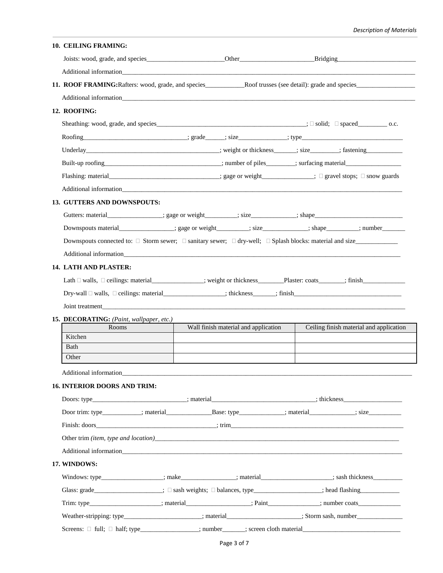## *Description of Materials*

| Additional information and the contract of the contract of the contract of the contract of the contract of the contract of the contract of the contract of the contract of the contract of the contract of the contract of the   |  |                                      |                                                                                                                                |
|----------------------------------------------------------------------------------------------------------------------------------------------------------------------------------------------------------------------------------|--|--------------------------------------|--------------------------------------------------------------------------------------------------------------------------------|
|                                                                                                                                                                                                                                  |  |                                      |                                                                                                                                |
| Additional information expectation of the contract of the contract of the contract of the contract of the contract of the contract of the contract of the contract of the contract of the contract of the contract of the cont   |  |                                      |                                                                                                                                |
| 12. ROOFING:                                                                                                                                                                                                                     |  |                                      |                                                                                                                                |
|                                                                                                                                                                                                                                  |  |                                      |                                                                                                                                |
|                                                                                                                                                                                                                                  |  |                                      |                                                                                                                                |
|                                                                                                                                                                                                                                  |  |                                      | Underlay___________________________________; weight or thickness______; size_______; fastening_______________________________; |
|                                                                                                                                                                                                                                  |  |                                      | Built-up roofing_________________________________; number of piles________; surfacing material__________________               |
| Flashing: material_______________________________; gage or weight_____________; □ gravel stops; □ snow guards                                                                                                                    |  |                                      |                                                                                                                                |
| Additional information expansion of the state of the state of the state of the state of the state of the state of the state of the state of the state of the state of the state of the state of the state of the state of the    |  |                                      |                                                                                                                                |
| <b>13. GUTTERS AND DOWNSPOUTS:</b>                                                                                                                                                                                               |  |                                      |                                                                                                                                |
|                                                                                                                                                                                                                                  |  |                                      | Gutters: material________________; gage or weight_________; size__________; shape___________________                           |
|                                                                                                                                                                                                                                  |  |                                      | Downspouts material______________; gage or weight_______; size_________; shape______; number_______                            |
| Downspouts connected to: $\Box$ Storm sewer; $\Box$ sanitary sewer; $\Box$ dry-well; $\Box$ Splash blocks: material and size                                                                                                     |  |                                      |                                                                                                                                |
|                                                                                                                                                                                                                                  |  |                                      |                                                                                                                                |
| <b>14. LATH AND PLASTER:</b>                                                                                                                                                                                                     |  |                                      |                                                                                                                                |
|                                                                                                                                                                                                                                  |  |                                      | Lath □ walls, □ ceilings: material_____________; weight or thickness________Plaster: coats_______; finish_________________;    |
|                                                                                                                                                                                                                                  |  |                                      |                                                                                                                                |
|                                                                                                                                                                                                                                  |  |                                      |                                                                                                                                |
|                                                                                                                                                                                                                                  |  |                                      |                                                                                                                                |
| Joint treatment                                                                                                                                                                                                                  |  |                                      |                                                                                                                                |
| Rooms                                                                                                                                                                                                                            |  | Wall finish material and application | Ceiling finish material and application                                                                                        |
| Kitchen                                                                                                                                                                                                                          |  |                                      |                                                                                                                                |
| Bath                                                                                                                                                                                                                             |  |                                      |                                                                                                                                |
| Other                                                                                                                                                                                                                            |  |                                      |                                                                                                                                |
| Additional information and the contract of the contract of the contract of the contract of the contract of the contract of the contract of the contract of the contract of the contract of the contract of the contract of the   |  |                                      |                                                                                                                                |
|                                                                                                                                                                                                                                  |  |                                      |                                                                                                                                |
|                                                                                                                                                                                                                                  |  |                                      |                                                                                                                                |
|                                                                                                                                                                                                                                  |  |                                      |                                                                                                                                |
|                                                                                                                                                                                                                                  |  |                                      |                                                                                                                                |
| Other trim (item, type and location)<br>Subsequently and the set of the set of the set of the set of the set of the set of the set of the set of the set of the set of the set of the set of the set of the set of the set of th |  |                                      |                                                                                                                                |
|                                                                                                                                                                                                                                  |  |                                      |                                                                                                                                |
|                                                                                                                                                                                                                                  |  |                                      |                                                                                                                                |
|                                                                                                                                                                                                                                  |  |                                      | Windows: type_________________; make____________; material________________; sash thickness_________                            |
| 15. DECORATING: (Paint, wallpaper, etc.)<br><b>16. INTERIOR DOORS AND TRIM:</b><br>17. WINDOWS:<br>Glass: grade __________________; $\Box$ sash weights; $\Box$ balances, type _______________; head flashing ________________;  |  |                                      |                                                                                                                                |
|                                                                                                                                                                                                                                  |  |                                      | Trim: type___________________; material______________; Paint___________; number coats____________________;                     |
|                                                                                                                                                                                                                                  |  |                                      | Weather-stripping: type______________________; material_________________; Storm sash, number__________________                 |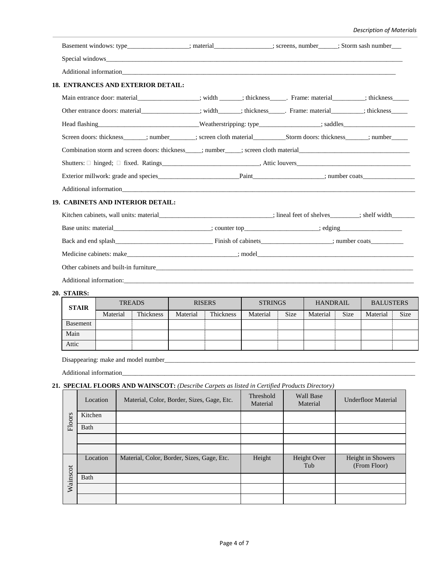## *Description of Materials*

| Basement windows: type________________; material______________; screens, number____; Storm sash number___                                                                                                                      |  |  |
|--------------------------------------------------------------------------------------------------------------------------------------------------------------------------------------------------------------------------------|--|--|
|                                                                                                                                                                                                                                |  |  |
|                                                                                                                                                                                                                                |  |  |
| 18. ENTRANCES AND EXTERIOR DETAIL:                                                                                                                                                                                             |  |  |
| Main entrance door: material_________________; width ______; thickness______. Frame: material__________; thickness_____                                                                                                        |  |  |
| Other entrance doors: material______________; width______; thickness______. Frame: material__________; thickness______                                                                                                         |  |  |
|                                                                                                                                                                                                                                |  |  |
| Screen doors: thickness_______; number________; screen cloth material___________________________; number__________;                                                                                                            |  |  |
| Combination storm and screen doors: thickness _____; number _____; screen cloth material                                                                                                                                       |  |  |
|                                                                                                                                                                                                                                |  |  |
|                                                                                                                                                                                                                                |  |  |
|                                                                                                                                                                                                                                |  |  |
| <b>19. CABINETS AND INTERIOR DETAIL:</b>                                                                                                                                                                                       |  |  |
| Kitchen cabinets, wall units: material in the cabinety and the contract of shelves in the space of shelves in the space of shelves in the space of shelves in the space of shelves in the space of shelves in the space of she |  |  |
|                                                                                                                                                                                                                                |  |  |
|                                                                                                                                                                                                                                |  |  |
|                                                                                                                                                                                                                                |  |  |
|                                                                                                                                                                                                                                |  |  |
|                                                                                                                                                                                                                                |  |  |
| 30 CELLIDO.                                                                                                                                                                                                                    |  |  |

#### **20. STAIRS:**

| <b>STAIR</b> |          | <b>TREADS</b> |          | <b>RISERS</b> | <b>STRINGS</b> |             | <b>HANDRAIL</b> |             | <b>BALUSTERS</b> |             |
|--------------|----------|---------------|----------|---------------|----------------|-------------|-----------------|-------------|------------------|-------------|
|              | Material | Thickness     | Material | Thickness     | Material       | <b>Size</b> | Material        | <b>Size</b> | Material         | <b>Size</b> |
| Basement     |          |               |          |               |                |             |                 |             |                  |             |
| Main         |          |               |          |               |                |             |                 |             |                  |             |
| Attic        |          |               |          |               |                |             |                 |             |                  |             |

Disappearing: make and model number\_\_\_\_\_\_\_\_\_\_\_\_\_\_\_\_\_\_\_\_\_\_\_\_\_\_\_\_\_\_\_\_\_\_\_\_\_\_\_\_\_\_\_\_\_\_\_\_\_\_\_\_\_\_\_\_\_\_\_\_\_\_\_\_\_\_\_\_\_\_\_\_\_\_\_\_\_

Additional information\_

## **21. SPECIAL FLOORS AND WAINSCOT:** *(Describe Carpets as listed in Certified Products Directory)*

|          | Location | Material, Color, Border, Sizes, Gage, Etc. | Threshold<br>Material | <b>Wall Base</b><br>Material | <b>Underfloor Material</b>        |
|----------|----------|--------------------------------------------|-----------------------|------------------------------|-----------------------------------|
| Floors   | Kitchen  |                                            |                       |                              |                                   |
|          | Bath     |                                            |                       |                              |                                   |
|          |          |                                            |                       |                              |                                   |
|          |          |                                            |                       |                              |                                   |
|          | Location | Material, Color, Border, Sizes, Gage, Etc. | Height                | Height Over<br>Tub           | Height in Showers<br>(From Floor) |
| Wainscot | Bath     |                                            |                       |                              |                                   |
|          |          |                                            |                       |                              |                                   |
|          |          |                                            |                       |                              |                                   |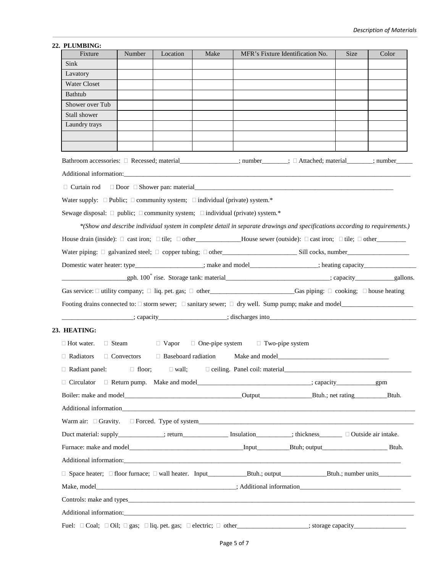#### **22. PLUMBING:**

| Fixture                                                                                    | Number                    | Location | Make | MFR's Fixture Identification No.                                                                                                                                                                                                   | <b>Size</b> | Color |
|--------------------------------------------------------------------------------------------|---------------------------|----------|------|------------------------------------------------------------------------------------------------------------------------------------------------------------------------------------------------------------------------------------|-------------|-------|
| Sink                                                                                       |                           |          |      |                                                                                                                                                                                                                                    |             |       |
| Lavatory                                                                                   |                           |          |      |                                                                                                                                                                                                                                    |             |       |
| <b>Water Closet</b>                                                                        |                           |          |      |                                                                                                                                                                                                                                    |             |       |
| Bathtub                                                                                    |                           |          |      |                                                                                                                                                                                                                                    |             |       |
| Shower over Tub                                                                            |                           |          |      |                                                                                                                                                                                                                                    |             |       |
| Stall shower                                                                               |                           |          |      |                                                                                                                                                                                                                                    |             |       |
| Laundry trays                                                                              |                           |          |      |                                                                                                                                                                                                                                    |             |       |
|                                                                                            |                           |          |      |                                                                                                                                                                                                                                    |             |       |
|                                                                                            |                           |          |      | Bathroom accessories: □ Recessed; material_______________; number______; □ Attached; material______; number_____                                                                                                                   |             |       |
|                                                                                            |                           |          |      |                                                                                                                                                                                                                                    |             |       |
|                                                                                            |                           |          |      |                                                                                                                                                                                                                                    |             |       |
| Water supply: $\Box$ Public; $\Box$ community system; $\Box$ individual (private) system.* |                           |          |      |                                                                                                                                                                                                                                    |             |       |
| Sewage disposal: □ public; □ community system; □ individual (private) system.*             |                           |          |      |                                                                                                                                                                                                                                    |             |       |
|                                                                                            |                           |          |      | *(Show and describe individual system in complete detail in separate drawings and specifications according to requirements.)                                                                                                       |             |       |
|                                                                                            |                           |          |      | House drain (inside): $\Box$ cast iron; $\Box$ tile; $\Box$ other _____________________House sewer (outside): $\Box$ cast iron; $\Box$ tile; $\Box$ other                                                                          |             |       |
|                                                                                            |                           |          |      |                                                                                                                                                                                                                                    |             |       |
|                                                                                            |                           |          |      |                                                                                                                                                                                                                                    |             |       |
|                                                                                            |                           |          |      |                                                                                                                                                                                                                                    |             |       |
|                                                                                            |                           |          |      | Gas service: $\Box$ utility company; $\Box$ liq. pet. gas; $\Box$ other Contemporary Cas piping: $\Box$ cooking; $\Box$ house heating                                                                                              |             |       |
|                                                                                            |                           |          |      |                                                                                                                                                                                                                                    |             |       |
|                                                                                            |                           |          |      |                                                                                                                                                                                                                                    |             |       |
| 23. HEATING:                                                                               |                           |          |      |                                                                                                                                                                                                                                    |             |       |
| $\Box$ Hot water.                                                                          | $\Box$ Steam $\Box$ Vapor |          |      | $\Box$ One-pipe system $\Box$ Two-pipe system                                                                                                                                                                                      |             |       |
| $\Box$ Radiators                                                                           | $\Box$ Convectors         |          |      | □ Baseboard radiation Make and model<br><u>Depends</u>                                                                                                                                                                             |             |       |
| $\Box$ Radiant panel:                                                                      | $\Box$ floor;             |          |      | □ wall; ceiling. Panel coil: material<br>□ wall; ceiling. Panel coil: material<br>□ wall; ceiling. Panel coil: material<br>□ wall; ceiling. Panel coil: material<br>□ wall; ceiling. Panel coil: material<br>□ wall; ceiling. Pane |             |       |
|                                                                                            |                           |          |      |                                                                                                                                                                                                                                    |             |       |
|                                                                                            |                           |          |      |                                                                                                                                                                                                                                    |             |       |
|                                                                                            |                           |          |      |                                                                                                                                                                                                                                    |             |       |
|                                                                                            |                           |          |      |                                                                                                                                                                                                                                    |             |       |
|                                                                                            |                           |          |      | Duct material: supply____________; return_________________ Insulation__________; thickness_________ $\Box$ Outside air intake.                                                                                                     |             |       |
|                                                                                            |                           |          |      |                                                                                                                                                                                                                                    |             |       |
|                                                                                            |                           |          |      |                                                                                                                                                                                                                                    |             |       |
|                                                                                            |                           |          |      |                                                                                                                                                                                                                                    |             |       |
|                                                                                            |                           |          |      |                                                                                                                                                                                                                                    |             |       |
|                                                                                            |                           |          |      |                                                                                                                                                                                                                                    |             |       |
|                                                                                            |                           |          |      |                                                                                                                                                                                                                                    |             |       |
|                                                                                            |                           |          |      | Additional information: experience and the contract of the contract of the contract of the contract of the contract of the contract of the contract of the contract of the contract of the contract of the contract of the con     |             |       |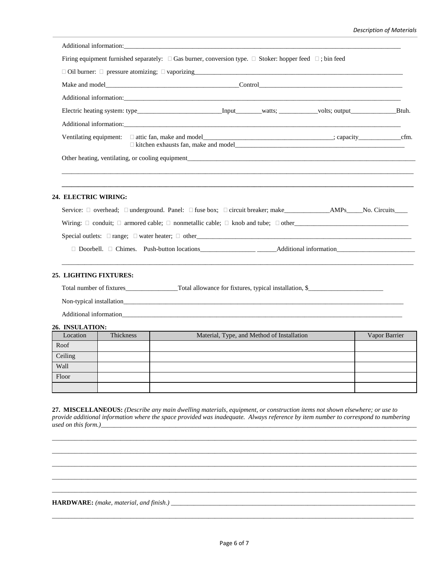| Firing equipment furnished separately: $\Box$ Gas burner, conversion type. $\Box$ Stoker: hopper feed $\Box$ ; bin feed |  |  |
|-------------------------------------------------------------------------------------------------------------------------|--|--|
|                                                                                                                         |  |  |
|                                                                                                                         |  |  |
|                                                                                                                         |  |  |
|                                                                                                                         |  |  |
|                                                                                                                         |  |  |
|                                                                                                                         |  |  |
| Other heating, ventilating, or cooling equipment                                                                        |  |  |
|                                                                                                                         |  |  |
|                                                                                                                         |  |  |

#### **24. ELECTRIC WIRING:**

| Service: $\Box$ overhead; $\Box$ underground. Panel: $\Box$ fuse box; $\Box$ circuit breaker; make<br>AMPs No. Circuits |  |
|-------------------------------------------------------------------------------------------------------------------------|--|
| Wiring: $\Box$ conduit; $\Box$ armored cable; $\Box$ nonmetallic cable; $\Box$ knob and tube; $\Box$ other              |  |
| Special outlets: $\Box$ range; $\Box$ water heater; $\Box$ other                                                        |  |
| $\Box$ Doorbell. $\Box$ Chimes. Push-button locations<br>Additional information                                         |  |

\_\_\_\_\_\_\_\_\_\_\_\_\_\_\_\_\_\_\_\_\_\_\_\_\_\_\_\_\_\_\_\_\_\_\_\_\_\_\_\_\_\_\_\_\_\_\_\_\_\_\_\_\_\_\_\_\_\_\_\_\_\_\_\_\_\_\_\_\_\_\_\_\_\_\_\_\_\_\_\_\_\_\_\_\_\_\_\_\_\_\_\_\_\_\_\_\_\_\_\_\_\_\_\_\_\_\_\_

## **25. LIGHTING FIXTURES:**

Total number of fixtures\_\_\_\_\_\_\_\_\_\_\_\_\_\_\_\_Total allowance for fixtures, typical installation, \$\_\_\_\_\_\_\_\_\_\_\_\_\_\_\_\_\_\_\_\_\_\_\_

Non-typical installation\_\_\_\_\_\_\_\_\_\_\_\_\_\_\_\_\_\_\_\_\_\_\_\_\_\_\_\_\_\_\_\_\_\_\_\_\_\_\_\_\_\_\_\_\_\_\_\_\_\_\_\_\_\_\_\_\_\_\_\_\_\_\_\_\_\_\_\_\_\_\_\_\_\_\_\_\_\_\_\_\_\_\_\_\_\_

Additional information\_\_\_\_\_\_\_\_\_\_\_\_\_\_\_\_\_\_\_\_\_\_\_\_\_\_\_\_\_\_\_\_\_\_\_\_\_\_\_\_\_\_\_\_\_\_\_\_\_\_\_\_\_\_\_\_\_\_\_\_\_\_\_\_\_\_\_\_\_\_\_\_\_\_\_\_\_\_\_\_\_\_\_\_\_\_

### **26. INSULATION:**

| Location | Thickness | Material, Type, and Method of Installation | Vapor Barrier |
|----------|-----------|--------------------------------------------|---------------|
| Roof     |           |                                            |               |
| Ceiling  |           |                                            |               |
| Wall     |           |                                            |               |
| Floor    |           |                                            |               |
|          |           |                                            |               |

**27. MISCELLANEOUS:** *(Describe any main dwelling materials, equipment, or construction items not shown elsewhere; or use to provide additional information where the space provided was inadequate. Always reference by item number to correspond to numbering used on this form.*)\_\_\_

\_\_\_\_\_\_\_\_\_\_\_\_\_\_\_\_\_\_\_\_\_\_\_\_\_\_\_\_\_\_\_\_\_\_\_\_\_\_\_\_\_\_\_\_\_\_\_\_\_\_\_\_\_\_\_\_\_\_\_\_\_\_\_\_\_\_\_\_\_\_\_\_\_\_\_\_\_\_\_\_\_\_\_\_\_\_\_\_\_\_\_\_\_\_\_\_\_\_\_\_\_\_\_\_\_\_\_\_\_\_\_\_ \_\_\_\_\_\_\_\_\_\_\_\_\_\_\_\_\_\_\_\_\_\_\_\_\_\_\_\_\_\_\_\_\_\_\_\_\_\_\_\_\_\_\_\_\_\_\_\_\_\_\_\_\_\_\_\_\_\_\_\_\_\_\_\_\_\_\_\_\_\_\_\_\_\_\_\_\_\_\_\_\_\_\_\_\_\_\_\_\_\_\_\_\_\_\_\_\_\_\_\_\_\_\_\_\_\_\_\_\_\_\_\_ \_\_\_\_\_\_\_\_\_\_\_\_\_\_\_\_\_\_\_\_\_\_\_\_\_\_\_\_\_\_\_\_\_\_\_\_\_\_\_\_\_\_\_\_\_\_\_\_\_\_\_\_\_\_\_\_\_\_\_\_\_\_\_\_\_\_\_\_\_\_\_\_\_\_\_\_\_\_\_\_\_\_\_\_\_\_\_\_\_\_\_\_\_\_\_\_\_\_\_\_\_\_\_\_\_\_\_\_\_\_\_\_ \_\_\_\_\_\_\_\_\_\_\_\_\_\_\_\_\_\_\_\_\_\_\_\_\_\_\_\_\_\_\_\_\_\_\_\_\_\_\_\_\_\_\_\_\_\_\_\_\_\_\_\_\_\_\_\_\_\_\_\_\_\_\_\_\_\_\_\_\_\_\_\_\_\_\_\_\_\_\_\_\_\_\_\_\_\_\_\_\_\_\_\_\_\_\_\_\_\_\_\_\_\_\_\_\_\_\_\_\_\_\_\_ \_\_\_\_\_\_\_\_\_\_\_\_\_\_\_\_\_\_\_\_\_\_\_\_\_\_\_\_\_\_\_\_\_\_\_\_\_\_\_\_\_\_\_\_\_\_\_\_\_\_\_\_\_\_\_\_\_\_\_\_\_\_\_\_\_\_\_\_\_\_\_\_\_\_\_\_\_\_\_\_\_\_\_\_\_\_\_\_\_\_\_\_\_\_\_\_\_\_\_\_\_\_\_\_\_\_\_\_\_\_\_\_

**HARDWARE:** *(make, material, and finish.)* \_\_\_\_\_\_\_\_\_\_\_\_\_\_\_\_\_\_\_\_\_\_\_\_\_\_\_\_\_\_\_\_\_\_\_\_\_\_\_\_\_\_\_\_\_\_\_\_\_\_\_\_\_\_\_\_\_\_\_\_\_\_\_\_\_\_\_\_\_\_\_\_\_\_\_

\_\_\_\_\_\_\_\_\_\_\_\_\_\_\_\_\_\_\_\_\_\_\_\_\_\_\_\_\_\_\_\_\_\_\_\_\_\_\_\_\_\_\_\_\_\_\_\_\_\_\_\_\_\_\_\_\_\_\_\_\_\_\_\_\_\_\_\_\_\_\_\_\_\_\_\_\_\_\_\_\_\_\_\_\_\_\_\_\_\_\_\_\_\_\_\_\_\_\_\_\_\_\_\_\_\_\_\_\_\_\_